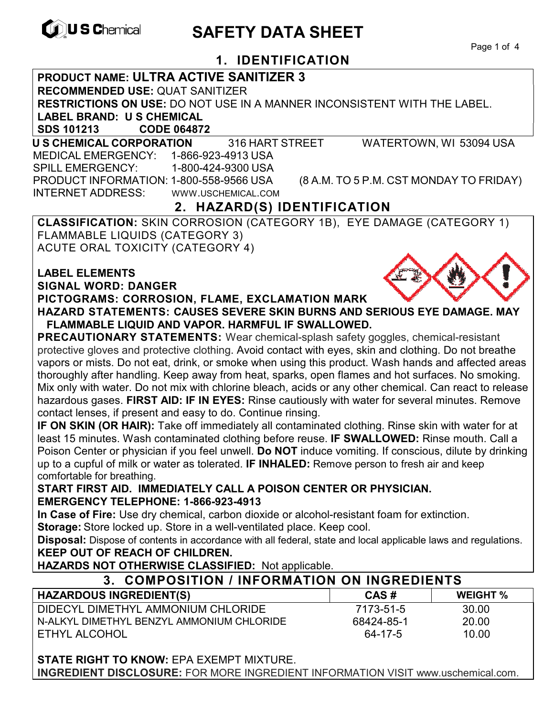

# **CONSCHEMICAL SAFETY DATA SHEET**

Page 1 of 4

# **1. IDENTIFICATION**

#### **PRODUCT NAME: ULTRA ACTIVE SANITIZER 3**

**RECOMMENDED USE:** QUAT SANITIZER

**RESTRICTIONS ON USE:** DO NOT USE IN A MANNER INCONSISTENT WITH THE LABEL.

**LABEL BRAND: U S CHEMICAL**

**SDS 101213 CODE 064872** 

**U S CHEMICAL CORPORATION** 316 HART STREET WATERTOWN, WI 53094 USA

 MEDICAL EMERGENCY: 1-866-923-4913 USA SPILL EMERGENCY: 1-800-424-9300 USA PRODUCT INFORMATION: 1-800-558-9566 USA (8 A.M. TO 5 P.M. CST MONDAY TO FRIDAY) INTERNET ADDRESS: WWW.USCHEMICAL.COM

# **2. HAZARD(S) IDENTIFICATION**

**CLASSIFICATION:** SKIN CORROSION (CATEGORY 1B), EYE DAMAGE (CATEGORY 1) FLAMMABLE LIQUIDS (CATEGORY 3) ACUTE ORAL TOXICITY (CATEGORY 4)

| <b>LABEL ELEMENTS</b>                                    |
|----------------------------------------------------------|
| <b>SIGNAL WORD: DANGER</b>                               |
| PICTOGRAMS: CORROSION, FLAME, EXCLAMATION MARK           |
| <b>HAZARD STATEMENTS: CAUSES SEVERE SKIN BURNS AND S</b> |

**ERIOUS EYE DAMAGE. MAY FLAMMABLE LIQUID AND VAPOR. HARMFUL IF SWALLOWED.** 

**PRECAUTIONARY STATEMENTS:** Wear chemical-splash safety goggles, chemical-resistant protective gloves and protective clothing. Avoid contact with eyes, skin and clothing. Do not breathe vapors or mists. Do not eat, drink, or smoke when using this product. Wash hands and affected areas thoroughly after handling. Keep away from heat, sparks, open flames and hot surfaces. No smoking. Mix only with water. Do not mix with chlorine bleach, acids or any other chemical. Can react to release hazardous gases. **FIRST AID: IF IN EYES:** Rinse cautiously with water for several minutes. Remove contact lenses, if present and easy to do. Continue rinsing.

**IF ON SKIN (OR HAIR):** Take off immediately all contaminated clothing. Rinse skin with water for at least 15 minutes. Wash contaminated clothing before reuse. **IF SWALLOWED:** Rinse mouth. Call a Poison Center or physician if you feel unwell. **Do NOT** induce vomiting. If conscious, dilute by drinking up to a cupful of milk or water as tolerated. **IF INHALED:** Remove person to fresh air and keep comfortable for breathing.

#### **START FIRST AID. IMMEDIATELY CALL A POISON CENTER OR PHYSICIAN. EMERGENCY TELEPHONE: 1-866-923-4913**

**In Case of Fire:** Use dry chemical, carbon dioxide or alcohol-resistant foam for extinction.

**Storage:** Store locked up. Store in a well-ventilated place. Keep cool.

**Disposal:** Dispose of contents in accordance with all federal, state and local applicable laws and regulations. **KEEP OUT OF REACH OF CHILDREN.** 

**HAZARDS NOT OTHERWISE CLASSIFIED:** Not applicable.

### **3. COMPOSITION / INFORMATION ON INGREDIENTS**

| HAZARDOUS INGREDIENT(S)                   | CAS#       | <b>WEIGHT %</b> |
|-------------------------------------------|------------|-----------------|
| I DIDECYL DIMETHYL AMMONIUM CHLORIDE      | 7173-51-5  | 30.00           |
| N-ALKYL DIMETHYL BENZYL AMMONIUM CHLORIDE | 68424-85-1 | 20.00           |
| I ETHYL ALCOHOL                           | 64-17-5    | 10.00           |

**STATE RIGHT TO KNOW:** EPA EXEMPT MIXTURE. **INGREDIENT DISCLOSURE:** FOR MORE INGREDIENT INFORMATION VISIT www.uschemical.com.

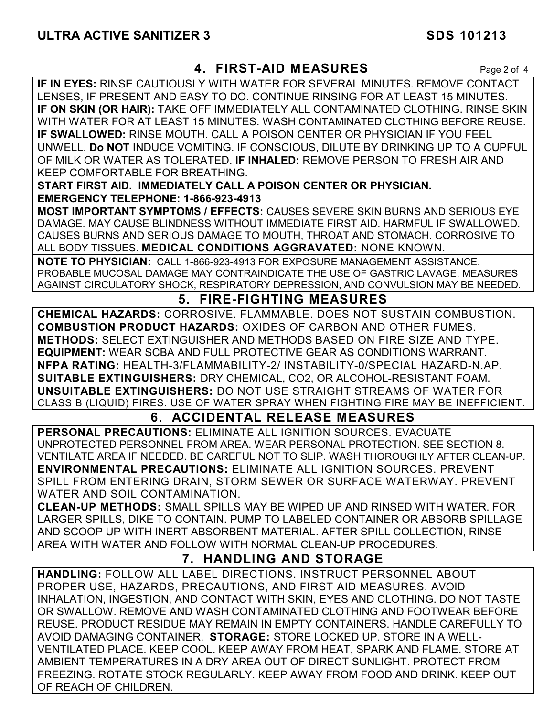# **4. FIRST-AID MEASURES** Page 2 of 4

**IF IN EYES:** RINSE CAUTIOUSLY WITH WATER FOR SEVERAL MINUTES. REMOVE CONTACT LENSES, IF PRESENT AND EASY TO DO. CONTINUE RINSING FOR AT LEAST 15 MINUTES. **IF ON SKIN (OR HAIR):** TAKE OFF IMMEDIATELY ALL CONTAMINATED CLOTHING. RINSE SKIN WITH WATER FOR AT LEAST 15 MINUTES. WASH CONTAMINATED CLOTHING BEFORE REUSE. **IF SWALLOWED:** RINSE MOUTH. CALL A POISON CENTER OR PHYSICIAN IF YOU FEEL UNWELL. **Do NOT** INDUCE VOMITING. IF CONSCIOUS, DILUTE BY DRINKING UP TO A CUPFUL OF MILK OR WATER AS TOLERATED. **IF INHALED:** REMOVE PERSON TO FRESH AIR AND KEEP COMFORTABLE FOR BREATHING.

**START FIRST AID. IMMEDIATELY CALL A POISON CENTER OR PHYSICIAN. EMERGENCY TELEPHONE: 1-866-923-4913**

**MOST IMPORTANT SYMPTOMS / EFFECTS:** CAUSES SEVERE SKIN BURNS AND SERIOUS EYE DAMAGE. MAY CAUSE BLINDNESS WITHOUT IMMEDIATE FIRST AID. HARMFUL IF SWALLOWED. CAUSES BURNS AND SERIOUS DAMAGE TO MOUTH, THROAT AND STOMACH. CORROSIVE TO ALL BODY TISSUES. **MEDICAL CONDITIONS AGGRAVATED:** NONE KNOWN.

**NOTE TO PHYSICIAN:** CALL 1-866-923-4913 FOR EXPOSURE MANAGEMENT ASSISTANCE. PROBABLE MUCOSAL DAMAGE MAY CONTRAINDICATE THE USE OF GASTRIC LAVAGE. MEASURES AGAINST CIRCULATORY SHOCK, RESPIRATORY DEPRESSION, AND CONVULSION MAY BE NEEDED.

# **5. FIRE-FIGHTING MEASURES**

**CHEMICAL HAZARDS:** CORROSIVE. FLAMMABLE. DOES NOT SUSTAIN COMBUSTION. **COMBUSTION PRODUCT HAZARDS:** OXIDES OF CARBON AND OTHER FUMES. **METHODS:** SELECT EXTINGUISHER AND METHODS BASED ON FIRE SIZE AND TYPE. **EQUIPMENT:** WEAR SCBA AND FULL PROTECTIVE GEAR AS CONDITIONS WARRANT. **NFPA RATING:** HEALTH-3/FLAMMABILITY-2/ INSTABILITY-0/SPECIAL HAZARD-N.AP. **SUITABLE EXTINGUISHERS:** DRY CHEMICAL, CO2, OR ALCOHOL-RESISTANT FOAM. **UNSUITABLE EXTINGUISHERS:** DO NOT USE STRAIGHT STREAMS OF WATER FOR CLASS B (LIQUID) FIRES. USE OF WATER SPRAY WHEN FIGHTING FIRE MAY BE INEFFICIENT.

# **6. ACCIDENTAL RELEASE MEASURES**

**PERSONAL PRECAUTIONS:** ELIMINATE ALL IGNITION SOURCES. EVACUATE UNPROTECTED PERSONNEL FROM AREA. WEAR PERSONAL PROTECTION. SEE SECTION 8. VENTILATE AREA IF NEEDED. BE CAREFUL NOT TO SLIP. WASH THOROUGHLY AFTER CLEAN-UP. **ENVIRONMENTAL PRECAUTIONS:** ELIMINATE ALL IGNITION SOURCES. PREVENT SPILL FROM ENTERING DRAIN, STORM SEWER OR SURFACE WATERWAY. PREVENT WATER AND SOIL CONTAMINATION.

**CLEAN-UP METHODS:** SMALL SPILLS MAY BE WIPED UP AND RINSED WITH WATER. FOR LARGER SPILLS, DIKE TO CONTAIN. PUMP TO LABELED CONTAINER OR ABSORB SPILLAGE AND SCOOP UP WITH INERT ABSORBENT MATERIAL. AFTER SPILL COLLECTION, RINSE AREA WITH WATER AND FOLLOW WITH NORMAL CLEAN-UP PROCEDURES.

# **7. HANDLING AND STORAGE**

**HANDLING:** FOLLOW ALL LABEL DIRECTIONS. INSTRUCT PERSONNEL ABOUT PROPER USE, HAZARDS, PRECAUTIONS, AND FIRST AID MEASURES. AVOID INHALATION, INGESTION, AND CONTACT WITH SKIN, EYES AND CLOTHING. DO NOT TASTE OR SWALLOW. REMOVE AND WASH CONTAMINATED CLOTHING AND FOOTWEAR BEFORE REUSE. PRODUCT RESIDUE MAY REMAIN IN EMPTY CONTAINERS. HANDLE CAREFULLY TO AVOID DAMAGING CONTAINER. **STORAGE:** STORE LOCKED UP. STORE IN A WELL-VENTILATED PLACE. KEEP COOL. KEEP AWAY FROM HEAT, SPARK AND FLAME. STORE AT AMBIENT TEMPERATURES IN A DRY AREA OUT OF DIRECT SUNLIGHT. PROTECT FROM FREEZING. ROTATE STOCK REGULARLY. KEEP AWAY FROM FOOD AND DRINK. KEEP OUT OF REACH OF CHILDREN.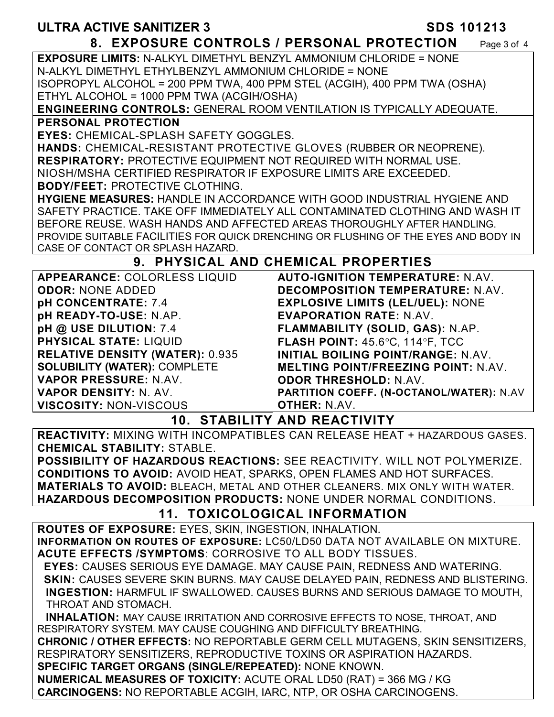#### **8. EXPOSURE CONTROLS / PERSONAL PROTECTION** Page 3 of 4

**EXPOSURE LIMITS:** N-ALKYL DIMETHYL BENZYL AMMONIUM CHLORIDE = NONE N-ALKYL DIMETHYL ETHYLBENZYL AMMONIUM CHLORIDE = NONE ISOPROPYL ALCOHOL = 200 PPM TWA, 400 PPM STEL (ACGIH), 400 PPM TWA (OSHA) ETHYL ALCOHOL = 1000 PPM TWA (ACGIH/OSHA)

**ENGINEERING CONTROLS:** GENERAL ROOM VENTILATION IS TYPICALLY ADEQUATE. **PERSONAL PROTECTION** 

**EYES:** CHEMICAL-SPLASH SAFETY GOGGLES.

**HANDS:** CHEMICAL-RESISTANT PROTECTIVE GLOVES (RUBBER OR NEOPRENE). **RESPIRATORY:** PROTECTIVE EQUIPMENT NOT REQUIRED WITH NORMAL USE. NIOSH/MSHA CERTIFIED RESPIRATOR IF EXPOSURE LIMITS ARE EXCEEDED. **BODY/FEET:** PROTECTIVE CLOTHING.

**HYGIENE MEASURES:** HANDLE IN ACCORDANCE WITH GOOD INDUSTRIAL HYGIENE AND SAFETY PRACTICE. TAKE OFF IMMEDIATELY ALL CONTAMINATED CLOTHING AND WASH IT BEFORE REUSE. WASH HANDS AND AFFECTED AREAS THOROUGHLY AFTER HANDLING. PROVIDE SUITABLE FACILITIES FOR QUICK DRENCHING OR FLUSHING OF THE EYES AND BODY IN CASE OF CONTACT OR SPLASH HAZARD.

# **9. PHYSICAL AND CHEMICAL PROPERTIES**

**APPEARANCE:** COLORLESS LIQUID **ODOR:** NONE ADDED **pH CONCENTRATE:** 7.4 **pH READY-TO-USE:** N.AP. **pH @ USE DILUTION:** 7.4 **PHYSICAL STATE:** LIQUID **RELATIVE DENSITY (WATER):** 0.935 **SOLUBILITY (WATER):** COMPLETE **VAPOR PRESSURE:** N.AV. **VAPOR DENSITY:** N. AV. **VISCOSITY:** NON-VISCOUS

**AUTO-IGNITION TEMPERATURE:** N.AV. **DECOMPOSITION TEMPERATURE:** N.AV. **EXPLOSIVE LIMITS (LEL/UEL):** NONE **EVAPORATION RATE:** N.AV. **FLAMMABILITY (SOLID, GAS):** N.AP. **FLASH POINT: 45.6°C, 114°F, TCC INITIAL BOILING POINT/RANGE:** N.AV. **MELTING POINT/FREEZING POINT:** N.AV. **ODOR THRESHOLD:** N.AV. **PARTITION COEFF. (N-OCTANOL/WATER):** N.AV **OTHER:** N.AV.

**10. STABILITY AND REACTIVITY** 

**REACTIVITY:** MIXING WITH INCOMPATIBLES CAN RELEASE HEAT + HAZARDOUS GASES. **CHEMICAL STABILITY:** STABLE.

**POSSIBILITY OF HAZARDOUS REACTIONS:** SEE REACTIVITY. WILL NOT POLYMERIZE. **CONDITIONS TO AVOID:** AVOID HEAT, SPARKS, OPEN FLAMES AND HOT SURFACES. **MATERIALS TO AVOID:** BLEACH, METAL AND OTHER CLEANERS. MIX ONLY WITH WATER. **HAZARDOUS DECOMPOSITION PRODUCTS:** NONE UNDER NORMAL CONDITIONS.

# **11. TOXICOLOGICAL INFORMATION**

**ROUTES OF EXPOSURE:** EYES, SKIN, INGESTION, INHALATION. **INFORMATION ON ROUTES OF EXPOSURE:** LC50/LD50 DATA NOT AVAILABLE ON MIXTURE. **ACUTE EFFECTS /SYMPTOMS**: CORROSIVE TO ALL BODY TISSUES.

 **EYES:** CAUSES SERIOUS EYE DAMAGE. MAY CAUSE PAIN, REDNESS AND WATERING.  **SKIN:** CAUSES SEVERE SKIN BURNS. MAY CAUSE DELAYED PAIN, REDNESS AND BLISTERING. **INGESTION:** HARMFUL IF SWALLOWED. CAUSES BURNS AND SERIOUS DAMAGE TO MOUTH, THROAT AND STOMACH.

 **INHALATION:** MAY CAUSE IRRITATION AND CORROSIVE EFFECTS TO NOSE, THROAT, AND RESPIRATORY SYSTEM. MAY CAUSE COUGHING AND DIFFICULTY BREATHING.

**CHRONIC / OTHER EFFECTS:** NO REPORTABLE GERM CELL MUTAGENS, SKIN SENSITIZERS, RESPIRATORY SENSITIZERS, REPRODUCTIVE TOXINS OR ASPIRATION HAZARDS.

**SPECIFIC TARGET ORGANS (SINGLE/REPEATED):** NONE KNOWN.

**NUMERICAL MEASURES OF TOXICITY:** ACUTE ORAL LD50 (RAT) = 366 MG / KG **CARCINOGENS:** NO REPORTABLE ACGIH, IARC, NTP, OR OSHA CARCINOGENS.